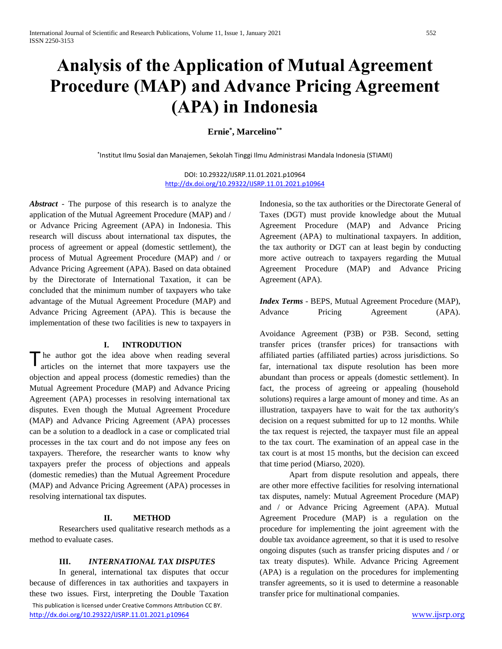# **Analysis of the Application of Mutual Agreement Procedure (MAP) and Advance Pricing Agreement (APA) in Indonesia**

**Ernie\* , Marcelino\*\***

\* Institut Ilmu Sosial dan Manajemen, Sekolah Tinggi Ilmu Administrasi Mandala Indonesia (STIAMI)

DOI: 10.29322/IJSRP.11.01.2021.p10964 <http://dx.doi.org/10.29322/IJSRP.11.01.2021.p10964>

*Abstract* - The purpose of this research is to analyze the application of the Mutual Agreement Procedure (MAP) and / or Advance Pricing Agreement (APA) in Indonesia. This research will discuss about international tax disputes, the process of agreement or appeal (domestic settlement), the process of Mutual Agreement Procedure (MAP) and / or Advance Pricing Agreement (APA). Based on data obtained by the Directorate of International Taxation, it can be concluded that the minimum number of taxpayers who take advantage of the Mutual Agreement Procedure (MAP) and Advance Pricing Agreement (APA). This is because the implementation of these two facilities is new to taxpayers in

#### **I. INTRODUTION**

he author got the idea above when reading several articles on the internet that more taxpayers use the objection and appeal process (domestic remedies) than the Mutual Agreement Procedure (MAP) and Advance Pricing Agreement (APA) processes in resolving international tax disputes. Even though the Mutual Agreement Procedure (MAP) and Advance Pricing Agreement (APA) processes can be a solution to a deadlock in a case or complicated trial processes in the tax court and do not impose any fees on taxpayers. Therefore, the researcher wants to know why taxpayers prefer the process of objections and appeals (domestic remedies) than the Mutual Agreement Procedure (MAP) and Advance Pricing Agreement (APA) processes in resolving international tax disputes. T

## **II. METHOD**

Researchers used qualitative research methods as a method to evaluate cases.

#### **III.** *INTERNATIONAL TAX DISPUTES*

 This publication is licensed under Creative Commons Attribution CC BY. <http://dx.doi.org/10.29322/IJSRP.11.01.2021.p10964> [www.ijsrp.org](http://ijsrp.org/) In general, international tax disputes that occur because of differences in tax authorities and taxpayers in these two issues. First, interpreting the Double Taxation

Indonesia, so the tax authorities or the Directorate General of Taxes (DGT) must provide knowledge about the Mutual Agreement Procedure (MAP) and Advance Pricing Agreement (APA) to multinational taxpayers. In addition, the tax authority or DGT can at least begin by conducting more active outreach to taxpayers regarding the Mutual Agreement Procedure (MAP) and Advance Pricing Agreement (APA).

|         |         | <i>Index Terms</i> - BEPS, Mutual Agreement Procedure (MAP), |        |
|---------|---------|--------------------------------------------------------------|--------|
| Advance | Pricing | Agreement                                                    | (APA). |

Avoidance Agreement (P3B) or P3B. Second, setting transfer prices (transfer prices) for transactions with affiliated parties (affiliated parties) across jurisdictions. So far, international tax dispute resolution has been more abundant than process or appeals (domestic settlement). In fact, the process of agreeing or appealing (household solutions) requires a large amount of money and time. As an illustration, taxpayers have to wait for the tax authority's decision on a request submitted for up to 12 months. While the tax request is rejected, the taxpayer must file an appeal to the tax court. The examination of an appeal case in the tax court is at most 15 months, but the decision can exceed that time period (Miarso, 2020).

Apart from dispute resolution and appeals, there are other more effective facilities for resolving international tax disputes, namely: Mutual Agreement Procedure (MAP) and / or Advance Pricing Agreement (APA). Mutual Agreement Procedure (MAP) is a regulation on the procedure for implementing the joint agreement with the double tax avoidance agreement, so that it is used to resolve ongoing disputes (such as transfer pricing disputes and / or tax treaty disputes). While. Advance Pricing Agreement (APA) is a regulation on the procedures for implementing transfer agreements, so it is used to determine a reasonable transfer price for multinational companies.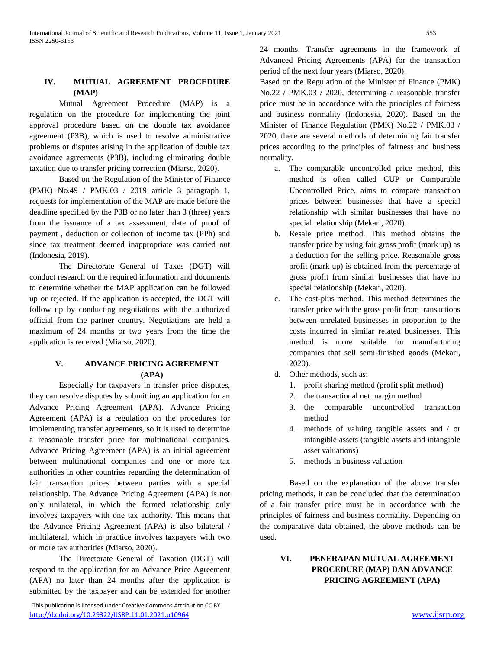## **IV. MUTUAL AGREEMENT PROCEDURE (MAP)**

Mutual Agreement Procedure (MAP) is a regulation on the procedure for implementing the joint approval procedure based on the double tax avoidance agreement (P3B), which is used to resolve administrative problems or disputes arising in the application of double tax avoidance agreements (P3B), including eliminating double taxation due to transfer pricing correction (Miarso, 2020).

Based on the Regulation of the Minister of Finance (PMK) No.49 / PMK.03 / 2019 article 3 paragraph 1, requests for implementation of the MAP are made before the deadline specified by the P3B or no later than 3 (three) years from the issuance of a tax assessment, date of proof of payment , deduction or collection of income tax (PPh) and since tax treatment deemed inappropriate was carried out (Indonesia, 2019).

The Directorate General of Taxes (DGT) will conduct research on the required information and documents to determine whether the MAP application can be followed up or rejected. If the application is accepted, the DGT will follow up by conducting negotiations with the authorized official from the partner country. Negotiations are held a maximum of 24 months or two years from the time the application is received (Miarso, 2020).

## **V. ADVANCE PRICING AGREEMENT (APA)**

Especially for taxpayers in transfer price disputes, they can resolve disputes by submitting an application for an Advance Pricing Agreement (APA). Advance Pricing Agreement (APA) is a regulation on the procedures for implementing transfer agreements, so it is used to determine a reasonable transfer price for multinational companies. Advance Pricing Agreement (APA) is an initial agreement between multinational companies and one or more tax authorities in other countries regarding the determination of fair transaction prices between parties with a special relationship. The Advance Pricing Agreement (APA) is not only unilateral, in which the formed relationship only involves taxpayers with one tax authority. This means that the Advance Pricing Agreement (APA) is also bilateral / multilateral, which in practice involves taxpayers with two or more tax authorities (Miarso, 2020).

The Directorate General of Taxation (DGT) will respond to the application for an Advance Price Agreement (APA) no later than 24 months after the application is submitted by the taxpayer and can be extended for another

 This publication is licensed under Creative Commons Attribution CC BY. <http://dx.doi.org/10.29322/IJSRP.11.01.2021.p10964> [www.ijsrp.org](http://ijsrp.org/)

24 months. Transfer agreements in the framework of Advanced Pricing Agreements (APA) for the transaction period of the next four years (Miarso, 2020).

Based on the Regulation of the Minister of Finance (PMK) No.22 / PMK.03 / 2020, determining a reasonable transfer price must be in accordance with the principles of fairness and business normality (Indonesia, 2020). Based on the Minister of Finance Regulation (PMK) No.22 / PMK.03 / 2020, there are several methods of determining fair transfer prices according to the principles of fairness and business normality.

- a. The comparable uncontrolled price method, this method is often called CUP or Comparable Uncontrolled Price, aims to compare transaction prices between businesses that have a special relationship with similar businesses that have no special relationship (Mekari, 2020).
- b. Resale price method. This method obtains the transfer price by using fair gross profit (mark up) as a deduction for the selling price. Reasonable gross profit (mark up) is obtained from the percentage of gross profit from similar businesses that have no special relationship (Mekari, 2020).
- c. The cost-plus method. This method determines the transfer price with the gross profit from transactions between unrelated businesses in proportion to the costs incurred in similar related businesses. This method is more suitable for manufacturing companies that sell semi-finished goods (Mekari, 2020).
- d. Other methods, such as:
	- 1. profit sharing method (profit split method)
	- 2. the transactional net margin method
	- 3. the comparable uncontrolled transaction method
	- 4. methods of valuing tangible assets and / or intangible assets (tangible assets and intangible asset valuations)
	- 5. methods in business valuation

Based on the explanation of the above transfer pricing methods, it can be concluded that the determination of a fair transfer price must be in accordance with the principles of fairness and business normality. Depending on the comparative data obtained, the above methods can be used.

## **VI. PENERAPAN MUTUAL AGREEMENT PROCEDURE (MAP) DAN ADVANCE PRICING AGREEMENT (APA)**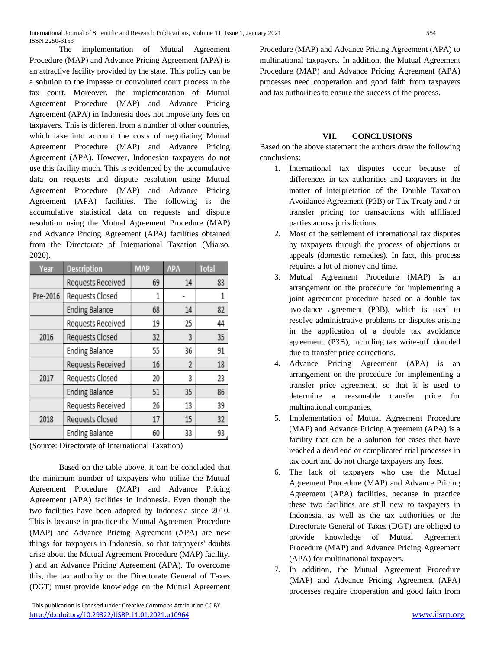The implementation of Mutual Agreement Procedure (MAP) and Advance Pricing Agreement (APA) is an attractive facility provided by the state. This policy can be a solution to the impasse or convoluted court process in the tax court. Moreover, the implementation of Mutual Agreement Procedure (MAP) and Advance Pricing Agreement (APA) in Indonesia does not impose any fees on taxpayers. This is different from a number of other countries, which take into account the costs of negotiating Mutual Agreement Procedure (MAP) and Advance Pricing Agreement (APA). However, Indonesian taxpayers do not use this facility much. This is evidenced by the accumulative data on requests and dispute resolution using Mutual Agreement Procedure (MAP) and Advance Pricing Agreement (APA) facilities. The following is the accumulative statistical data on requests and dispute resolution using the Mutual Agreement Procedure (MAP) and Advance Pricing Agreement (APA) facilities obtained from the Directorate of International Taxation (Miarso, 2020).

| Year     | <b>Description</b>    | <b>MAP</b> | <b>APA</b> | <b>Total</b> |
|----------|-----------------------|------------|------------|--------------|
|          | Requests Received     | 69         | 14         | 83           |
| Pre-2016 | Requests Closed       | 1          |            | 1            |
|          | <b>Ending Balance</b> | 68         | 14         | 82           |
|          | Requests Received     | 19         | 25         | 44           |
| 2016     | Requests Closed       | 32         | 3          | 35           |
|          | <b>Ending Balance</b> | 55         | 36         | 91           |
|          | Requests Received     | 16         | 2          | 18           |
| 2017     | Requests Closed       | 20         | 3          | 23           |
|          | <b>Ending Balance</b> | 51         | 35         | 86           |
|          | Requests Received     | 26         | 13         | 39           |
| 2018     | Requests Closed       | 17         | 15         | 32           |
|          | <b>Ending Balance</b> | 60         | 33         | 93           |

(Source: Directorate of International Taxation)

Based on the table above, it can be concluded that the minimum number of taxpayers who utilize the Mutual Agreement Procedure (MAP) and Advance Pricing Agreement (APA) facilities in Indonesia. Even though the two facilities have been adopted by Indonesia since 2010. This is because in practice the Mutual Agreement Procedure (MAP) and Advance Pricing Agreement (APA) are new things for taxpayers in Indonesia, so that taxpayers' doubts arise about the Mutual Agreement Procedure (MAP) facility. ) and an Advance Pricing Agreement (APA). To overcome this, the tax authority or the Directorate General of Taxes (DGT) must provide knowledge on the Mutual Agreement Procedure (MAP) and Advance Pricing Agreement (APA) to multinational taxpayers. In addition, the Mutual Agreement Procedure (MAP) and Advance Pricing Agreement (APA) processes need cooperation and good faith from taxpayers and tax authorities to ensure the success of the process.

## **VII. CONCLUSIONS**

Based on the above statement the authors draw the following conclusions:

- 1. International tax disputes occur because of differences in tax authorities and taxpayers in the matter of interpretation of the Double Taxation Avoidance Agreement (P3B) or Tax Treaty and / or transfer pricing for transactions with affiliated parties across jurisdictions.
- 2. Most of the settlement of international tax disputes by taxpayers through the process of objections or appeals (domestic remedies). In fact, this process requires a lot of money and time.
- 3. Mutual Agreement Procedure (MAP) is an arrangement on the procedure for implementing a joint agreement procedure based on a double tax avoidance agreement (P3B), which is used to resolve administrative problems or disputes arising in the application of a double tax avoidance agreement. (P3B), including tax write-off. doubled due to transfer price corrections.
- 4. Advance Pricing Agreement (APA) is an arrangement on the procedure for implementing a transfer price agreement, so that it is used to determine a reasonable transfer price for multinational companies.
- 5. Implementation of Mutual Agreement Procedure (MAP) and Advance Pricing Agreement (APA) is a facility that can be a solution for cases that have reached a dead end or complicated trial processes in tax court and do not charge taxpayers any fees.
- 6. The lack of taxpayers who use the Mutual Agreement Procedure (MAP) and Advance Pricing Agreement (APA) facilities, because in practice these two facilities are still new to taxpayers in Indonesia, as well as the tax authorities or the Directorate General of Taxes (DGT) are obliged to provide knowledge of Mutual Agreement Procedure (MAP) and Advance Pricing Agreement (APA) for multinational taxpayers.
- 7. In addition, the Mutual Agreement Procedure (MAP) and Advance Pricing Agreement (APA) processes require cooperation and good faith from